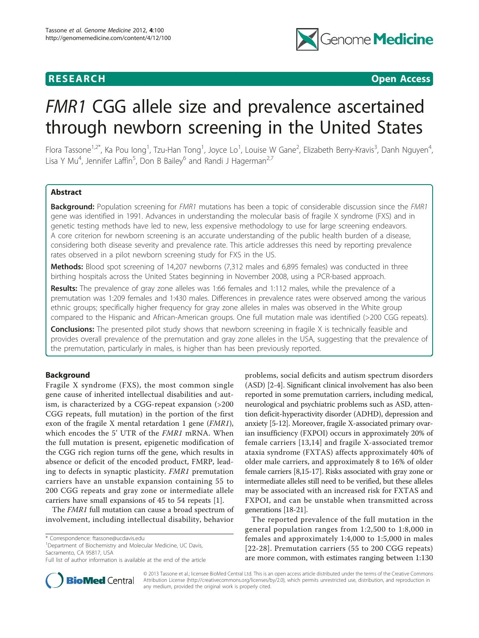## **RESEARCH CONTROL** CONTROL CONTROL CONTROL CONTROL CONTROL CONTROL CONTROL CONTROL CONTROL CONTROL CONTROL CONTROL



# FMR1 CGG allele size and prevalence ascertained through newborn screening in the United States

Flora Tassone<sup>1,2\*</sup>, Ka Pou Iong<sup>1</sup>, Tzu-Han Tong<sup>1</sup>, Joyce Lo<sup>1</sup>, Louise W Gane<sup>2</sup>, Elizabeth Berry-Kravis<sup>3</sup>, Danh Nguyen<sup>4</sup> , Lisa Y Mu<sup>4</sup>, Jennifer Laffin<sup>5</sup>, Don B Bailey<sup>6</sup> and Randi J Hagerman<sup>2,7</sup>

## Abstract

Background: Population screening for FMR1 mutations has been a topic of considerable discussion since the FMR1 gene was identified in 1991. Advances in understanding the molecular basis of fragile X syndrome (FXS) and in genetic testing methods have led to new, less expensive methodology to use for large screening endeavors. A core criterion for newborn screening is an accurate understanding of the public health burden of a disease, considering both disease severity and prevalence rate. This article addresses this need by reporting prevalence rates observed in a pilot newborn screening study for FXS in the US.

Methods: Blood spot screening of 14,207 newborns (7,312 males and 6,895 females) was conducted in three birthing hospitals across the United States beginning in November 2008, using a PCR-based approach.

Results: The prevalence of gray zone alleles was 1:66 females and 1:112 males, while the prevalence of a premutation was 1:209 females and 1:430 males. Differences in prevalence rates were observed among the various ethnic groups; specifically higher frequency for gray zone alleles in males was observed in the White group compared to the Hispanic and African-American groups. One full mutation male was identified (>200 CGG repeats).

**Conclusions:** The presented pilot study shows that newborn screening in fragile X is technically feasible and provides overall prevalence of the premutation and gray zone alleles in the USA, suggesting that the prevalence of the premutation, particularly in males, is higher than has been previously reported.

## Background

Fragile X syndrome (FXS), the most common single gene cause of inherited intellectual disabilities and autism, is characterized by a CGG-repeat expansion (>200 CGG repeats, full mutation) in the portion of the first exon of the fragile X mental retardation 1 gene (FMR1), which encodes the 5' UTR of the FMR1 mRNA. When the full mutation is present, epigenetic modification of the CGG rich region turns off the gene, which results in absence or deficit of the encoded product, FMRP, leading to defects in synaptic plasticity. FMR1 premutation carriers have an unstable expansion containing 55 to 200 CGG repeats and gray zone or intermediate allele carriers have small expansions of 45 to 54 repeats [[1](#page-9-0)].

The FMR1 full mutation can cause a broad spectrum of involvement, including intellectual disability, behavior

<sup>1</sup>Department of Biochemistry and Molecular Medicine, UC Davis, Sacramento, CA 95817, USA



The reported prevalence of the full mutation in the general population ranges from 1:2,500 to 1:8,000 in females and approximately 1:4,000 to 1:5,000 in males [[22](#page-10-0)-[28](#page-10-0)]. Premutation carriers (55 to 200 CGG repeats) are more common, with estimates ranging between 1:130



© 2013 Tassone et al.; licensee BioMed Central Ltd. This is an open access article distributed under the terms of the Creative Commons Attribution License [\(http://creativecommons.org/licenses/by/2.0](http://creativecommons.org/licenses/by/2.0)), which permits unrestricted use, distribution, and reproduction in any medium, provided the original work is properly cited.

<sup>\*</sup> Correspondence: [ftassone@ucdavis.edu](mailto:ftassone@ucdavis.edu)

Full list of author information is available at the end of the article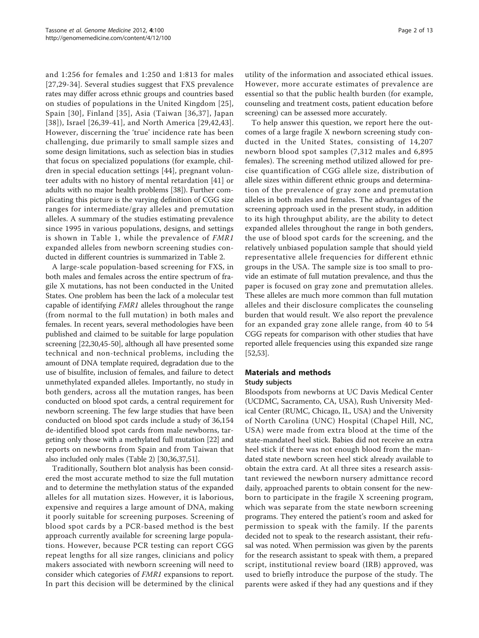and 1:256 for females and 1:250 and 1:813 for males [[27](#page-10-0),[29-34\]](#page-10-0). Several studies suggest that FXS prevalence rates may differ across ethnic groups and countries based on studies of populations in the United Kingdom [[25\]](#page-10-0), Spain [[30\]](#page-10-0), Finland [[35\]](#page-10-0), Asia (Taiwan [[36,37](#page-10-0)], Japan [[38](#page-10-0)]), Israel [[26,39-41\]](#page-10-0), and North America [[29,42](#page-10-0),[43\]](#page-10-0). However, discerning the 'true' incidence rate has been challenging, due primarily to small sample sizes and some design limitations, such as selection bias in studies that focus on specialized populations (for example, children in special education settings [[44](#page-10-0)], pregnant volunteer adults with no history of mental retardation [\[41](#page-10-0)] or adults with no major health problems [\[38](#page-10-0)]). Further complicating this picture is the varying definition of CGG size ranges for intermediate/gray alleles and premutation alleles. A summary of the studies estimating prevalence since 1995 in various populations, designs, and settings is shown in Table [1,](#page-2-0) while the prevalence of FMR1 expanded alleles from newborn screening studies conducted in different countries is summarized in Table [2.](#page-3-0)

A large-scale population-based screening for FXS, in both males and females across the entire spectrum of fragile X mutations, has not been conducted in the United States. One problem has been the lack of a molecular test capable of identifying FMR1 alleles throughout the range (from normal to the full mutation) in both males and females. In recent years, several methodologies have been published and claimed to be suitable for large population screening [[22,30](#page-10-0),[45](#page-11-0)-[50](#page-11-0)], although all have presented some technical and non-technical problems, including the amount of DNA template required, degradation due to the use of bisulfite, inclusion of females, and failure to detect unmethylated expanded alleles. Importantly, no study in both genders, across all the mutation ranges, has been conducted on blood spot cards, a central requirement for newborn screening. The few large studies that have been conducted on blood spot cards include a study of 36,154 de-identified blood spot cards from male newborns, targeting only those with a methylated full mutation [\[22\]](#page-10-0) and reports on newborns from Spain and from Taiwan that also included only males (Table [2\)](#page-3-0) [[30,36,37](#page-10-0)[,51\]](#page-11-0).

Traditionally, Southern blot analysis has been considered the most accurate method to size the full mutation and to determine the methylation status of the expanded alleles for all mutation sizes. However, it is laborious, expensive and requires a large amount of DNA, making it poorly suitable for screening purposes. Screening of blood spot cards by a PCR-based method is the best approach currently available for screening large populations. However, because PCR testing can report CGG repeat lengths for all size ranges, clinicians and policy makers associated with newborn screening will need to consider which categories of FMR1 expansions to report. In part this decision will be determined by the clinical

utility of the information and associated ethical issues. However, more accurate estimates of prevalence are essential so that the public health burden (for example, counseling and treatment costs, patient education before screening) can be assessed more accurately.

To help answer this question, we report here the outcomes of a large fragile X newborn screening study conducted in the United States, consisting of 14,207 newborn blood spot samples (7,312 males and 6,895 females). The screening method utilized allowed for precise quantification of CGG allele size, distribution of allele sizes within different ethnic groups and determination of the prevalence of gray zone and premutation alleles in both males and females. The advantages of the screening approach used in the present study, in addition to its high throughput ability, are the ability to detect expanded alleles throughout the range in both genders, the use of blood spot cards for the screening, and the relatively unbiased population sample that should yield representative allele frequencies for different ethnic groups in the USA. The sample size is too small to provide an estimate of full mutation prevalence, and thus the paper is focused on gray zone and premutation alleles. These alleles are much more common than full mutation alleles and their disclosure complicates the counseling burden that would result. We also report the prevalence for an expanded gray zone allele range, from 40 to 54 CGG repeats for comparison with other studies that have reported allele frequencies using this expanded size range [[52,53\]](#page-11-0).

## Materials and methods

#### Study subjects

Bloodspots from newborns at UC Davis Medical Center (UCDMC, Sacramento, CA, USA), Rush University Medical Center (RUMC, Chicago, IL, USA) and the University of North Carolina (UNC) Hospital (Chapel Hill, NC, USA) were made from extra blood at the time of the state-mandated heel stick. Babies did not receive an extra heel stick if there was not enough blood from the mandated state newborn screen heel stick already available to obtain the extra card. At all three sites a research assistant reviewed the newborn nursery admittance record daily, approached parents to obtain consent for the newborn to participate in the fragile X screening program, which was separate from the state newborn screening programs. They entered the patient's room and asked for permission to speak with the family. If the parents decided not to speak to the research assistant, their refusal was noted. When permission was given by the parents for the research assistant to speak with them, a prepared script, institutional review board (IRB) approved, was used to briefly introduce the purpose of the study. The parents were asked if they had any questions and if they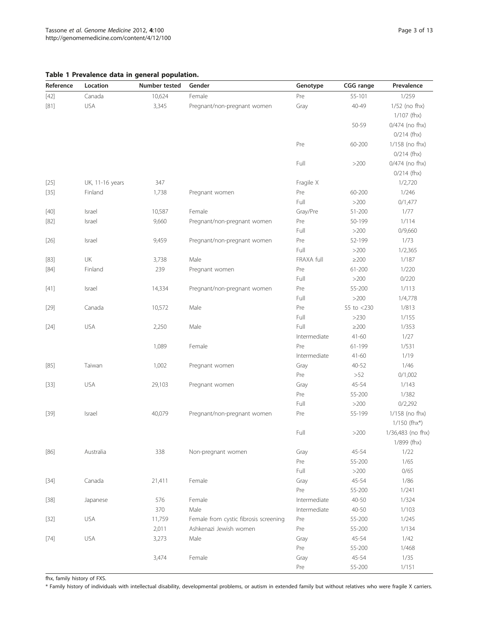<span id="page-2-0"></span>

|  |  |  |  |  |  | Table 1 Prevalence data in general population. |
|--|--|--|--|--|--|------------------------------------------------|
|--|--|--|--|--|--|------------------------------------------------|

| Reference | Location        | Number tested | Gender                                | Genotype     | CGG range  | Prevalence        |
|-----------|-----------------|---------------|---------------------------------------|--------------|------------|-------------------|
| $[42]$    | Canada          | 10,624        | Female                                | Pre          | 55-101     | 1/259             |
| $[81]$    | <b>USA</b>      | 3,345         | Pregnant/non-pregnant women           | Gray         | 40-49      | 1/52 (no fhx)     |
|           |                 |               |                                       |              |            | $1/107$ (fhx)     |
|           |                 |               |                                       |              | 50-59      | 0/474 (no fhx)    |
|           |                 |               |                                       |              |            | $0/214$ (fhx)     |
|           |                 |               |                                       | Pre          | 60-200     | 1/158 (no fhx)    |
|           |                 |               |                                       |              |            | $0/214$ (fhx)     |
|           |                 |               |                                       | Full         | >200       | $0/474$ (no fhx)  |
|           |                 |               |                                       |              |            | $0/214$ (fhx)     |
| $[25]$    | UK, 11-16 years | 347           |                                       | Fragile X    |            | 1/2,720           |
| $[35]$    | Finland         | 1,738         | Pregnant women                        | Pre          | 60-200     | 1/246             |
|           |                 |               |                                       | Full         | $>200$     | 0/1,477           |
| $[40]$    | Israel          | 10,587        | Female                                | Gray/Pre     | 51-200     | 1/77              |
| $[82]$    | Israel          | 9,660         | Pregnant/non-pregnant women           | Pre          | 50-199     | 1/114             |
|           |                 |               |                                       | Full         | >200       | 0/9,660           |
| $[26]$    | Israel          | 9,459         | Pregnant/non-pregnant women           | Pre          | 52-199     | 1/73              |
|           |                 |               |                                       | Full         | >200       | 1/2,365           |
| $[83]$    | UK              | 3,738         | Male                                  | FRAXA full   | $\geq$ 200 | 1/187             |
| $[84]$    | Finland         | 239           | Pregnant women                        | Pre          | 61-200     | 1/220             |
|           |                 |               |                                       | Full         | >200       | 0/220             |
| $[41]$    | Israel          | 14,334        | Pregnant/non-pregnant women           | Pre          | 55-200     | 1/113             |
|           |                 |               |                                       | Full         | >200       | 1/4,778           |
| $[29]$    | Canada          | 10,572        | Male                                  | Pre          | 55 to <230 | 1/813             |
|           |                 |               |                                       | Full         | >230       | 1/155             |
| $[24]$    | <b>USA</b>      | 2,250         | Male                                  | Full         | $\geq$ 200 | 1/353             |
|           |                 |               |                                       | Intermediate | $41 - 60$  | 1/27              |
|           |                 | 1,089         | Female                                | Pre          | 61-199     | 1/531             |
|           |                 |               |                                       | Intermediate | $41 - 60$  | 1/19              |
| $[85]$    | Taiwan          | 1,002         | Pregnant women                        | Gray         | $40 - 52$  | 1/46              |
|           |                 |               |                                       | Pre          | $>52$      | 0/1,002           |
| $[33]$    | <b>USA</b>      | 29,103        | Pregnant women                        | Gray         | 45-54      | 1/143             |
|           |                 |               |                                       | Pre          | 55-200     | 1/382             |
|           |                 |               |                                       | Full         | $>200$     | 0/2,292           |
| $[39]$    | Israel          | 40,079        | Pregnant/non-pregnant women           | Pre          | 55-199     | 1/158 (no fhx)    |
|           |                 |               |                                       |              |            | $1/150$ (fhx*)    |
|           |                 |               |                                       | Full         | >200       | 1/36,483 (no fhx) |
|           |                 |               |                                       |              |            | 1/899 (fhx)       |
| $[86]$    | Australia       | 338           | Non-pregnant women                    | Gray         | 45-54      | 1/22              |
|           |                 |               |                                       | Pre          | 55-200     | 1/65              |
|           |                 |               |                                       | Full         | $>200$     | 0/65              |
| $[34]$    | Canada          | 21,411        | Female                                | Gray         | 45-54      | 1/86              |
|           |                 |               |                                       | Pre          | 55-200     | 1/241             |
| $[38]$    | Japanese        | 576           | Female                                | Intermediate | 40-50      | 1/324             |
|           |                 | 370           | Male                                  | Intermediate | 40-50      | 1/103             |
| $[32]$    | USA             | 11,759        | Female from cystic fibrosis screening | Pre          | 55-200     | 1/245             |
|           |                 | 2,011         | Ashkenazi Jewish women                | Pre          | 55-200     | 1/134             |
| $[74]$    | USA             | 3,273         | Male                                  | Gray         | 45-54      | 1/42              |
|           |                 |               |                                       | Pre          | 55-200     | 1/468             |
|           |                 | 3,474         | Female                                | Gray         | 45-54      | 1/35              |
|           |                 |               |                                       | Pre          | 55-200     | 1/151             |

fhx, family history of FXS.

\* Family history of individuals with intellectual disability, developmental problems, or autism in extended family but without relatives who were fragile X carriers.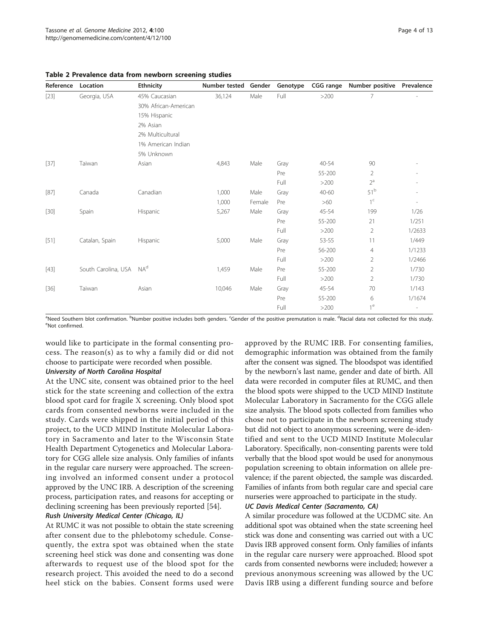| Reference | Location            | <b>Ethnicity</b>     | Number tested | Gender | Genotype | CGG range | Number positive | Prevalence |
|-----------|---------------------|----------------------|---------------|--------|----------|-----------|-----------------|------------|
| $[23]$    | Georgia, USA        | 45% Caucasian        | 36,124        | Male   | Full     | $>200$    | 7               |            |
|           |                     | 30% African-American |               |        |          |           |                 |            |
|           |                     | 15% Hispanic         |               |        |          |           |                 |            |
|           |                     | 2% Asian             |               |        |          |           |                 |            |
|           |                     | 2% Multicultural     |               |        |          |           |                 |            |
|           |                     | 1% American Indian   |               |        |          |           |                 |            |
|           |                     | 5% Unknown           |               |        |          |           |                 |            |
| $[37]$    | Taiwan              | Asian                | 4,843         | Male   | Gray     | 40-54     | 90              |            |
|           |                     |                      |               |        | Pre      | 55-200    | 2               | ٠          |
|           |                     |                      |               |        | Full     | >200      | $2^a$           |            |
| $[87]$    | Canada              | Canadian             | 1,000         | Male   | Gray     | $40 - 60$ | $51^{\rm b}$    |            |
|           |                     |                      | 1,000         | Female | Pre      | $>60$     | 1 <sup>c</sup>  | ٠          |
| $[30]$    | Spain               | Hispanic             | 5,267         | Male   | Gray     | 45-54     | 199             | 1/26       |
|           |                     |                      |               |        | Pre      | 55-200    | 21              | 1/251      |
|           |                     |                      |               |        | Full     | >200      | $\overline{2}$  | 1/2633     |
| $[51]$    | Catalan, Spain      | Hispanic             | 5,000         | Male   | Gray     | 53-55     | 11              | 1/449      |
|           |                     |                      |               |        | Pre      | 56-200    | $\overline{4}$  | 1/1233     |
|           |                     |                      |               |        | Full     | $>200$    | 2               | 1/2466     |
| $[43]$    | South Carolina, USA | NA <sup>d</sup>      | 1,459         | Male   | Pre      | 55-200    | $\overline{2}$  | 1/730      |
|           |                     |                      |               |        | Full     | >200      | 2               | 1/730      |
| $[36]$    | Taiwan              | Asian                | 10,046        | Male   | Gray     | 45-54     | 70              | 1/143      |
|           |                     |                      |               |        | Pre      | 55-200    | 6               | 1/1674     |
|           |                     |                      |               |        | Full     | >200      | 1 <sup>e</sup>  | ٠          |

<span id="page-3-0"></span>Table 2 Prevalence data from newborn screening studies

<sup>a</sup>Need Southern blot confirmation. <sup>b</sup>Number positive includes both genders. <sup>c</sup>Gender of the positive premutation is male. <sup>d</sup>Racial data not collected for this study.<br><sup>e</sup>Net confirmed Not confirmed.

would like to participate in the formal consenting process. The reason(s) as to why a family did or did not choose to participate were recorded when possible.

#### University of North Carolina Hospital

At the UNC site, consent was obtained prior to the heel stick for the state screening and collection of the extra blood spot card for fragile X screening. Only blood spot cards from consented newborns were included in the study. Cards were shipped in the initial period of this project, to the UCD MIND Institute Molecular Laboratory in Sacramento and later to the Wisconsin State Health Department Cytogenetics and Molecular Laboratory for CGG allele size analysis. Only families of infants in the regular care nursery were approached. The screening involved an informed consent under a protocol approved by the UNC IRB. A description of the screening process, participation rates, and reasons for accepting or declining screening has been previously reported [\[54](#page-11-0)].

## Rush University Medical Center (Chicago, IL)

At RUMC it was not possible to obtain the state screening after consent due to the phlebotomy schedule. Consequently, the extra spot was obtained when the state screening heel stick was done and consenting was done afterwards to request use of the blood spot for the research project. This avoided the need to do a second heel stick on the babies. Consent forms used were approved by the RUMC IRB. For consenting families, demographic information was obtained from the family after the consent was signed. The bloodspot was identified by the newborn's last name, gender and date of birth. All data were recorded in computer files at RUMC, and then the blood spots were shipped to the UCD MIND Institute Molecular Laboratory in Sacramento for the CGG allele size analysis. The blood spots collected from families who chose not to participate in the newborn screening study but did not object to anonymous screening, were de-identified and sent to the UCD MIND Institute Molecular Laboratory. Specifically, non-consenting parents were told verbally that the blood spot would be used for anonymous population screening to obtain information on allele prevalence; if the parent objected, the sample was discarded. Families of infants from both regular care and special care nurseries were approached to participate in the study.

## UC Davis Medical Center (Sacramento, CA)

A similar procedure was followed at the UCDMC site. An additional spot was obtained when the state screening heel stick was done and consenting was carried out with a UC Davis IRB approved consent form. Only families of infants in the regular care nursery were approached. Blood spot cards from consented newborns were included; however a previous anonymous screening was allowed by the UC Davis IRB using a different funding source and before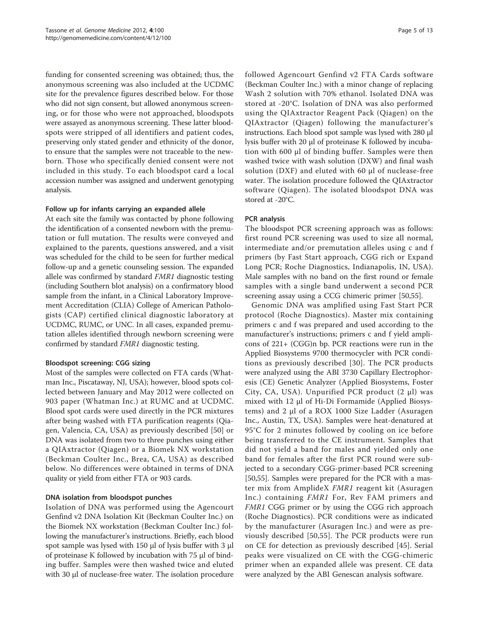funding for consented screening was obtained; thus, the anonymous screening was also included at the UCDMC site for the prevalence figures described below. For those who did not sign consent, but allowed anonymous screening, or for those who were not approached, bloodspots were assayed as anonymous screening. These latter bloodspots were stripped of all identifiers and patient codes, preserving only stated gender and ethnicity of the donor, to ensure that the samples were not traceable to the newborn. Those who specifically denied consent were not included in this study. To each bloodspot card a local accession number was assigned and underwent genotyping analysis.

## Follow up for infants carrying an expanded allele

At each site the family was contacted by phone following the identification of a consented newborn with the premutation or full mutation. The results were conveyed and explained to the parents, questions answered, and a visit was scheduled for the child to be seen for further medical follow-up and a genetic counseling session. The expanded allele was confirmed by standard FMR1 diagnostic testing (including Southern blot analysis) on a confirmatory blood sample from the infant, in a Clinical Laboratory Improvement Accreditation (CLIA) College of American Pathologists (CAP) certified clinical diagnostic laboratory at UCDMC, RUMC, or UNC. In all cases, expanded premutation alleles identified through newborn screening were confirmed by standard FMR1 diagnostic testing.

## Bloodspot screening: CGG sizing

Most of the samples were collected on FTA cards (Whatman Inc., Piscataway, NJ, USA); however, blood spots collected between January and May 2012 were collected on 903 paper (Whatman Inc.) at RUMC and at UCDMC. Blood spot cards were used directly in the PCR mixtures after being washed with FTA purification reagents (Qiagen, Valencia, CA, USA) as previously described [\[50](#page-11-0)] or DNA was isolated from two to three punches using either a QIAxtractor (Qiagen) or a Biomek NX workstation (Beckman Coulter Inc., Brea, CA, USA) as described below. No differences were obtained in terms of DNA quality or yield from either FTA or 903 cards.

## DNA isolation from bloodspot punches

Isolation of DNA was performed using the Agencourt Genfind v2 DNA Isolation Kit (Beckman Coulter Inc.) on the Biomek NX workstation (Beckman Coulter Inc.) following the manufacturer's instructions. Briefly, each blood spot sample was lysed with 150  $\mu$ l of lysis buffer with 3  $\mu$ l of proteinase K followed by incubation with 75 µl of binding buffer. Samples were then washed twice and eluted with 30 µl of nuclease-free water. The isolation procedure followed Agencourt Genfind v2 FTA Cards software (Beckman Coulter Inc.) with a minor change of replacing Wash 2 solution with 70% ethanol. Isolated DNA was stored at -20°C. Isolation of DNA was also performed using the QIAxtractor Reagent Pack (Qiagen) on the QIAxtractor (Qiagen) following the manufacturer's instructions. Each blood spot sample was lysed with 280 µl lysis buffer with 20 µl of proteinase K followed by incubation with 600 µl of binding buffer. Samples were then washed twice with wash solution (DXW) and final wash solution  $(DXF)$  and eluted with 60  $\mu$ l of nuclease-free water. The isolation procedure followed the QIAxtractor software (Qiagen). The isolated bloodspot DNA was stored at -20°C.

## PCR analysis

The bloodspot PCR screening approach was as follows: first round PCR screening was used to size all normal, intermediate and/or premutation alleles using c and f primers (by Fast Start approach, CGG rich or Expand Long PCR; Roche Diagnostics, Indianapolis, IN, USA). Male samples with no band on the first round or female samples with a single band underwent a second PCR screening assay using a CCG chimeric primer [\[50,55\]](#page-11-0).

Genomic DNA was amplified using Fast Start PCR protocol (Roche Diagnostics). Master mix containing primers c and f was prepared and used according to the manufacturer's instructions; primers c and f yield amplicons of 221+ (CGG)n bp. PCR reactions were run in the Applied Biosystems 9700 thermocycler with PCR conditions as previously described [[30](#page-10-0)]. The PCR products were analyzed using the ABI 3730 Capillary Electrophoresis (CE) Genetic Analyzer (Applied Biosystems, Foster City, CA, USA). Unpurified PCR product (2 μl) was mixed with 12 μl of Hi-Di Formamide (Applied Biosystems) and 2 μl of a ROX 1000 Size Ladder (Asuragen Inc., Austin, TX, USA). Samples were heat-denatured at 95°C for 2 minutes followed by cooling on ice before being transferred to the CE instrument. Samples that did not yield a band for males and yielded only one band for females after the first PCR round were subjected to a secondary CGG-primer-based PCR screening [[50,55\]](#page-11-0). Samples were prepared for the PCR with a master mix from AmplideX FMR1 reagent kit (Asuragen Inc.) containing FMR1 For, Rev FAM primers and FMR1 CGG primer or by using the CGG rich approach (Roche Diagnostics). PCR conditions were as indicated by the manufacturer (Asuragen Inc.) and were as previously described [[50](#page-11-0),[55\]](#page-11-0). The PCR products were run on CE for detection as previously described [\[45](#page-11-0)]. Serial peaks were visualized on CE with the CGG-chimeric primer when an expanded allele was present. CE data were analyzed by the ABI Genescan analysis software.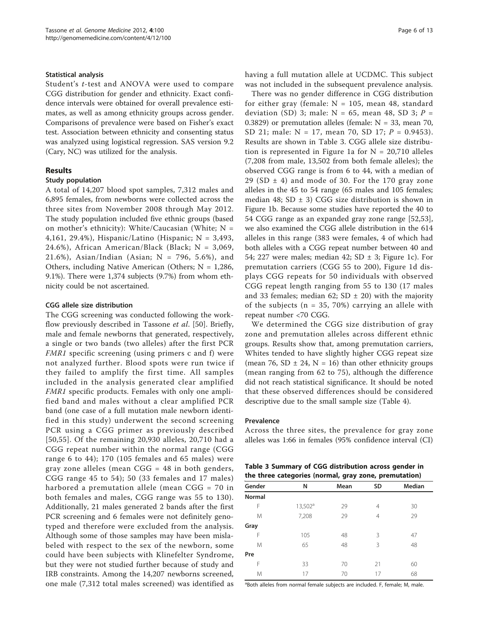#### Statistical analysis

Student's t-test and ANOVA were used to compare CGG distribution for gender and ethnicity. Exact confidence intervals were obtained for overall prevalence estimates, as well as among ethnicity groups across gender. Comparisons of prevalence were based on Fisher's exact test. Association between ethnicity and consenting status was analyzed using logistical regression. SAS version 9.2 (Cary, NC) was utilized for the analysis.

#### Results

#### Study population

A total of 14,207 blood spot samples, 7,312 males and 6,895 females, from newborns were collected across the three sites from November 2008 through May 2012. The study population included five ethnic groups (based on mother's ethnicity): White/Caucasian (White;  $N =$ 4,161, 29.4%), Hispanic/Latino (Hispanic; N = 3,493, 24.6%), African American/Black (Black;  $N = 3,069$ , 21.6%), Asian/Indian (Asian;  $N = 796, 5.6\%$ ), and Others, including Native American (Others;  $N = 1,286$ , 9.1%). There were 1,374 subjects (9.7%) from whom ethnicity could be not ascertained.

#### CGG allele size distribution

The CGG screening was conducted following the work-flow previously described in Tassone et al. [[50\]](#page-11-0). Briefly, male and female newborns that generated, respectively, a single or two bands (two alleles) after the first PCR FMR1 specific screening (using primers c and f) were not analyzed further. Blood spots were run twice if they failed to amplify the first time. All samples included in the analysis generated clear amplified FMR1 specific products. Females with only one amplified band and males without a clear amplified PCR band (one case of a full mutation male newborn identified in this study) underwent the second screening PCR using a CGG primer as previously described [[50](#page-11-0),[55](#page-11-0)]. Of the remaining 20,930 alleles, 20,710 had a CGG repeat number within the normal range (CGG range 6 to 44); 170 (105 females and 65 males) were gray zone alleles (mean CGG = 48 in both genders, CGG range 45 to 54); 50 (33 females and 17 males) harbored a premutation allele (mean CGG = 70 in both females and males, CGG range was 55 to 130). Additionally, 21 males generated 2 bands after the first PCR screening and 6 females were not definitely genotyped and therefore were excluded from the analysis. Although some of those samples may have been mislabeled with respect to the sex of the newborn, some could have been subjects with Klinefelter Syndrome, but they were not studied further because of study and IRB constraints. Among the 14,207 newborns screened, one male (7,312 total males screened) was identified as having a full mutation allele at UCDMC. This subject was not included in the subsequent prevalence analysis.

There was no gender difference in CGG distribution for either gray (female:  $N = 105$ , mean 48, standard deviation (SD) 3; male:  $N = 65$ , mean 48, SD 3;  $P =$ 0.3829) or premutation alleles (female:  $N = 33$ , mean 70, SD 21; male:  $N = 17$ , mean 70, SD 17;  $P = 0.9453$ ). Results are shown in Table 3. CGG allele size distribu-tion is represented in Figure [1a](#page-6-0) for  $N = 20,710$  alleles (7,208 from male, 13,502 from both female alleles); the observed CGG range is from 6 to 44, with a median of 29 (SD  $\pm$  4) and mode of 30. For the 170 gray zone alleles in the 45 to 54 range (65 males and 105 females; median 48; SD  $\pm$  3) CGG size distribution is shown in Figure [1b.](#page-6-0) Because some studies have reported the 40 to 54 CGG range as an expanded gray zone range [[52,53](#page-11-0)], we also examined the CGG allele distribution in the 614 alleles in this range (383 were females, 4 of which had both alleles with a CGG repeat number between 40 and 54; 227 were males; median 42; SD  $\pm$  3; Figure [1c\)](#page-6-0). For premutation carriers (CGG 55 to 200), Figure [1d](#page-6-0) displays CGG repeats for 50 individuals with observed CGG repeat length ranging from 55 to 130 (17 males and 33 females; median 62; SD  $\pm$  20) with the majority of the subjects ( $n = 35, 70\%$ ) carrying an allele with repeat number <70 CGG.

We determined the CGG size distribution of gray zone and premutation alleles across different ethnic groups. Results show that, among premutation carriers, Whites tended to have slightly higher CGG repeat size (mean 76, SD  $\pm$  24, N = 16) than other ethnicity groups (mean ranging from 62 to 75), although the difference did not reach statistical significance. It should be noted that these observed differences should be considered descriptive due to the small sample size (Table [4\)](#page-7-0).

#### Prevalence

Across the three sites, the prevalence for gray zone alleles was 1:66 in females (95% confidence interval (CI)

| Table 3 Summary of CGG distribution across gender in  |
|-------------------------------------------------------|
| the three categories (normal, gray zone, premutation) |

| Gender        | N          | Mean | <b>SD</b>      | Median |
|---------------|------------|------|----------------|--------|
| <b>Normal</b> |            |      |                |        |
| F             | $13,502^a$ | 29   | $\overline{4}$ | 30     |
| M             | 7,208      | 29   | 4              | 29     |
| Gray          |            |      |                |        |
| F             | 105        | 48   | 3              | 47     |
| M             | 65         | 48   | 3              | 48     |
| Pre           |            |      |                |        |
| F             | 33         | 70   | 21             | 60     |
| M             | 17         | 70   | 17             | 68     |

<sup>a</sup>Both alleles from normal female subjects are included. F, female; M, male.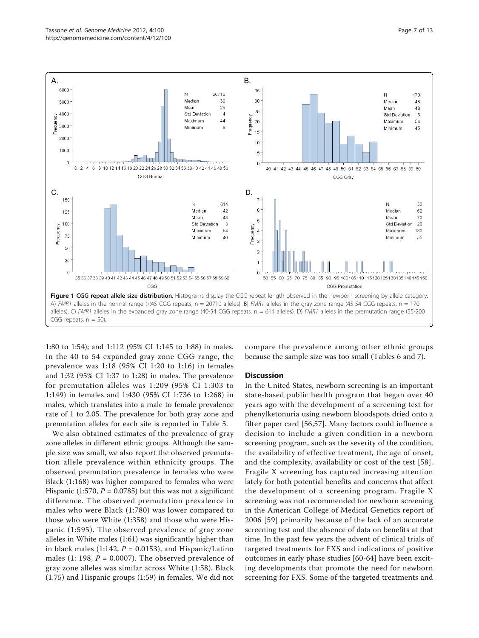<span id="page-6-0"></span>

1:80 to 1:54); and 1:112 (95% CI 1:145 to 1:88) in males. In the 40 to 54 expanded gray zone CGG range, the prevalence was 1:18 (95% CI 1:20 to 1:16) in females and 1:32 (95% CI 1:37 to 1:28) in males. The prevalence for premutation alleles was 1:209 (95% CI 1:303 to 1:149) in females and 1:430 (95% CI 1:736 to 1:268) in males, which translates into a male to female prevalence rate of 1 to 2.05. The prevalence for both gray zone and premutation alleles for each site is reported in Table [5](#page-7-0).

We also obtained estimates of the prevalence of gray zone alleles in different ethnic groups. Although the sample size was small, we also report the observed premutation allele prevalence within ethnicity groups. The observed premutation prevalence in females who were Black (1:168) was higher compared to females who were Hispanic (1:570,  $P = 0.0785$ ) but this was not a significant difference. The observed premutation prevalence in males who were Black (1:780) was lower compared to those who were White (1:358) and those who were Hispanic (1:595). The observed prevalence of gray zone alleles in White males (1:61) was significantly higher than in black males (1:142,  $P = 0.0153$ ), and Hispanic/Latino males (1: 198,  $P = 0.0007$ ). The observed prevalence of gray zone alleles was similar across White (1:58), Black (1:75) and Hispanic groups (1:59) in females. We did not

compare the prevalence among other ethnic groups because the sample size was too small (Tables [6](#page-8-0) and [7\)](#page-8-0).

#### **Discussion**

In the United States, newborn screening is an important state-based public health program that began over 40 years ago with the development of a screening test for phenylketonuria using newborn bloodspots dried onto a filter paper card [\[56](#page-11-0),[57\]](#page-11-0). Many factors could influence a decision to include a given condition in a newborn screening program, such as the severity of the condition, the availability of effective treatment, the age of onset, and the complexity, availability or cost of the test [[58](#page-11-0)]. Fragile X screening has captured increasing attention lately for both potential benefits and concerns that affect the development of a screening program. Fragile X screening was not recommended for newborn screening in the American College of Medical Genetics report of 2006 [[59](#page-11-0)] primarily because of the lack of an accurate screening test and the absence of data on benefits at that time. In the past few years the advent of clinical trials of targeted treatments for FXS and indications of positive outcomes in early phase studies [[60-64](#page-11-0)] have been exciting developments that promote the need for newborn screening for FXS. Some of the targeted treatments and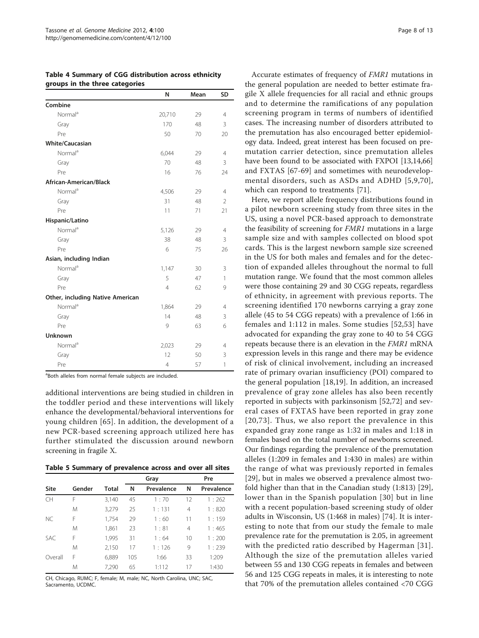|                                  | N              | Mean | <b>SD</b>      |
|----------------------------------|----------------|------|----------------|
| Combine                          |                |      |                |
| Normal <sup>a</sup>              | 20,710         | 29   | $\overline{4}$ |
| Gray                             | 170            | 48   | 3              |
| Pre                              | 50             | 70   | 20             |
| <b>White/Caucasian</b>           |                |      |                |
| Normal <sup>a</sup>              | 6,044          | 29   | $\overline{4}$ |
| Gray                             | 70             | 48   | 3              |
| Pre                              | 16             | 76   | 24             |
| African-American/Black           |                |      |                |
| Normal <sup>a</sup>              | 4,506          | 29   | $\overline{4}$ |
| Gray                             | 31             | 48   | $\overline{2}$ |
| Pre                              | 11             | 71   | 21             |
| Hispanic/Latino                  |                |      |                |
| Normal <sup>a</sup>              | 5,126          | 29   | $\overline{4}$ |
| Gray                             | 38             | 48   | 3              |
| Pre                              | 6              | 75   | 26             |
| Asian, including Indian          |                |      |                |
| Normal <sup>a</sup>              | 1,147          | 30   | 3              |
| Gray                             | 5              | 47   | $\mathbf{1}$   |
| Pre                              | 4              | 62   | 9              |
| Other, including Native American |                |      |                |
| Normal <sup>a</sup>              | 1,864          | 29   | $\overline{4}$ |
| Gray                             | 14             | 48   | 3              |
| Pre                              | 9              | 63   | 6              |
| <b>Unknown</b>                   |                |      |                |
| Normal <sup>a</sup>              | 2,023          | 29   | $\overline{4}$ |
| Gray                             | 12             | 50   | 3              |
| Pre                              | $\overline{4}$ | 57   | 1              |

<span id="page-7-0"></span>Table 4 Summary of CGG distribution across ethnicity groups in the three categories

<sup>a</sup>Both alleles from normal female subjects are included.

additional interventions are being studied in children in the toddler period and these interventions will likely enhance the developmental/behavioral interventions for young children [[65](#page-11-0)]. In addition, the development of a new PCR-based screening approach utilized here has further stimulated the discussion around newborn screening in fragile X.

| Table 5 Summary of prevalence across and over all sites |  |  |  |  |  |  |  |
|---------------------------------------------------------|--|--|--|--|--|--|--|
|---------------------------------------------------------|--|--|--|--|--|--|--|

|             |        |              |     | Gray       |    | Pre        |
|-------------|--------|--------------|-----|------------|----|------------|
| <b>Site</b> | Gender | <b>Total</b> | N   | Prevalence | N  | Prevalence |
| <b>CH</b>   | F      | 3,140        | 45  | 1:70       | 12 | 1:262      |
|             | M      | 3,279        | 25  | 1:131      | 4  | 1:820      |
| NC.         | F      | 1,754        | 29  | 1:60       | 11 | 1:159      |
|             | M      | 1,861        | 23  | 1:81       | 4  | 1:465      |
| <b>SAC</b>  | F      | 1,995        | 31  | 1:64       | 10 | 1:200      |
|             | M      | 2,150        | 17  | 1:126      | 9  | 1:239      |
| Overall     | F      | 6,889        | 105 | 1:66       | 33 | 1:209      |
|             | М      | 7,290        | 65  | 1:112      | 17 | 1:430      |

CH, Chicago, RUMC; F, female; M, male; NC, North Carolina, UNC; SAC, Sacramento, UCDMC.

Accurate estimates of frequency of FMR1 mutations in the general population are needed to better estimate fragile X allele frequencies for all racial and ethnic groups and to determine the ramifications of any population screening program in terms of numbers of identified cases. The increasing number of disorders attributed to the premutation has also encouraged better epidemiology data. Indeed, great interest has been focused on premutation carrier detection, since premutation alleles have been found to be associated with FXPOI [[13](#page-10-0),[14](#page-10-0),[66](#page-11-0)] and FXTAS [[67-69](#page-11-0)] and sometimes with neurodevelopmental disorders, such as ASDs and ADHD [[5](#page-9-0),[9,](#page-10-0)[70\]](#page-11-0), which can respond to treatments [[71\]](#page-11-0).

Here, we report allele frequency distributions found in a pilot newborn screening study from three sites in the US, using a novel PCR-based approach to demonstrate the feasibility of screening for FMR1 mutations in a large sample size and with samples collected on blood spot cards. This is the largest newborn sample size screened in the US for both males and females and for the detection of expanded alleles throughout the normal to full mutation range. We found that the most common alleles were those containing 29 and 30 CGG repeats, regardless of ethnicity, in agreement with previous reports. The screening identified 170 newborns carrying a gray zone allele (45 to 54 CGG repeats) with a prevalence of 1:66 in females and 1:112 in males. Some studies [[52,53\]](#page-11-0) have advocated for expanding the gray zone to 40 to 54 CGG repeats because there is an elevation in the FMR1 mRNA expression levels in this range and there may be evidence of risk of clinical involvement, including an increased rate of primary ovarian insufficiency (POI) compared to the general population [[18,19](#page-10-0)]. In addition, an increased prevalence of gray zone alleles has also been recently reported in subjects with parkinsonism [[52,72](#page-11-0)] and several cases of FXTAS have been reported in gray zone [[20](#page-10-0),[73](#page-11-0)]. Thus, we also report the prevalence in this expanded gray zone range as 1:32 in males and 1:18 in females based on the total number of newborns screened. Our findings regarding the prevalence of the premutation alleles (1:209 in females and 1:430 in males) are within the range of what was previously reported in females [[29\]](#page-10-0), but in males we observed a prevalence almost twofold higher than that in the Canadian study (1:813) [\[29](#page-10-0)], lower than in the Spanish population [[30](#page-10-0)] but in line with a recent population-based screening study of older adults in Wisconsin, US (1:468 in males) [[74\]](#page-11-0). It is interesting to note that from our study the female to male prevalence rate for the premutation is 2.05, in agreement with the predicted ratio described by Hagerman [\[31\]](#page-10-0). Although the size of the premutation alleles varied between 55 and 130 CGG repeats in females and between 56 and 125 CGG repeats in males, it is interesting to note that 70% of the premutation alleles contained <70 CGG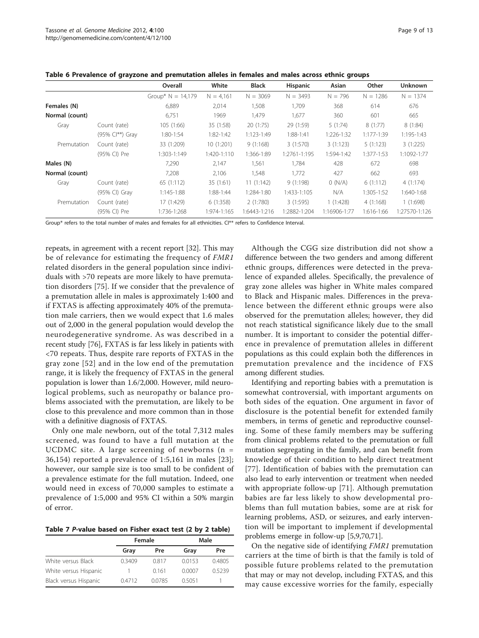|                |                 | Overall             | White       | <b>Black</b> | <b>Hispanic</b> | Asian        | Other      | <b>Unknown</b> |
|----------------|-----------------|---------------------|-------------|--------------|-----------------|--------------|------------|----------------|
|                |                 | Group* $N = 14,179$ | $N = 4,161$ | $N = 3069$   | $N = 3493$      | $N = 796$    | $N = 1286$ | $N = 1374$     |
| Females (N)    |                 | 6,889               | 2,014       | 1,508        | 1,709           | 368          | 614        | 676            |
| Normal (count) |                 | 6,751               | 1969        | 1,479        | 1,677           | 360          | 601        | 665            |
| Gray           | Count (rate)    | 105 (1:66)          | 35 (1:58)   | 20 (1:75)    | 29 (1:59)       | 5(1:74)      | 8(1:77)    | 8(1:84)        |
|                | (95% Cl**) Gray | 1:80-1:54           | $1:82-1:42$ | 1:123-1:49   | 1:88-1:41       | 1:226-1:32   | 1:177-1:39 | 1:195-1:43     |
| Premutation    | Count (rate)    | 33 (1:209)          | 10(1:201)   | 9(1:168)     | 3(1:570)        | 3(1:123)     | 5(1:123)   | 3(1:225)       |
|                | (95% CI) Pre    | 1:303-1:149         | 1:420-1:110 | 1:366-1:89   | 1:2761-1:195    | 1:594-1:42   | 1:377-1:53 | 1:1092-1:77    |
| Males (N)      |                 | 7.290               | 2.147       | 1,561        | 1.784           | 428          | 672        | 698            |
| Normal (count) |                 | 7,208               | 2,106       | 1,548        | 1,772           | 427          | 662        | 693            |
| Gray           | Count (rate)    | 65 (1:112)          | 35(1:61)    | 11(1:142)    | 9(1:198)        | O(N/A)       | 6(1:112)   | 4(1:174)       |
|                | (95% CI) Gray   | 1:145-1:88          | 1:88-1:44   | 1:284-1:80   | 1:433-1:105     | N/A          | 1:305-1:52 | 1:640-1:68     |
| Premutation    | Count (rate)    | 17 (1:429)          | 6(1:358)    | 2(1:780)     | 3(1:595)        | 1(1:428)     | 4(1:168)   | 1(1:698)       |
|                | (95% CI) Pre    | 1:736-1:268         | 1:974-1:165 | :6443-1:216  | 1:2882-1:204    | 1:16906-1:77 | 1:616-1:66 | 1:27570-1:126  |

<span id="page-8-0"></span>Table 6 Prevalence of grayzone and premutation alleles in females and males across ethnic groups

Group\* refers to the total number of males and females for all ethnicities. CI\*\* refers to Confidence Interval.

repeats, in agreement with a recent report [[32](#page-10-0)]. This may be of relevance for estimating the frequency of FMR1 related disorders in the general population since individuals with >70 repeats are more likely to have premutation disorders [\[75](#page-11-0)]. If we consider that the prevalence of a premutation allele in males is approximately 1:400 and if FXTAS is affecting approximately 40% of the premutation male carriers, then we would expect that 1.6 males out of 2,000 in the general population would develop the neurodegenerative syndrome. As was described in a recent study [\[76](#page-11-0)], FXTAS is far less likely in patients with <70 repeats. Thus, despite rare reports of FXTAS in the gray zone [\[52\]](#page-11-0) and in the low end of the premutation range, it is likely the frequency of FXTAS in the general population is lower than 1.6/2,000. However, mild neurological problems, such as neuropathy or balance problems associated with the premutation, are likely to be close to this prevalence and more common than in those with a definitive diagnosis of FXTAS.

Only one male newborn, out of the total 7,312 males screened, was found to have a full mutation at the UCDMC site. A large screening of newborns  $(n =$ 36,154) reported a prevalence of 1:5,161 in males [[23](#page-10-0)]; however, our sample size is too small to be confident of a prevalence estimate for the full mutation. Indeed, one would need in excess of 70,000 samples to estimate a prevalence of 1:5,000 and 95% CI within a 50% margin of error.

Table 7 P-value based on Fisher exact test (2 by 2 table)

|                       |       | Female | Male   |        |  |
|-----------------------|-------|--------|--------|--------|--|
|                       | Gray  | Pre    | Gray   | Pre    |  |
| White versus Black    | 03409 | 0.817  | 0.0153 | 0.4805 |  |
| White versus Hispanic |       | 0.161  | 0.0007 | 0.5239 |  |
| Black versus Hispanic | 04712 | 0.0785 | 0.5051 |        |  |

Although the CGG size distribution did not show a difference between the two genders and among different ethnic groups, differences were detected in the prevalence of expanded alleles. Specifically, the prevalence of gray zone alleles was higher in White males compared to Black and Hispanic males. Differences in the prevalence between the different ethnic groups were also observed for the premutation alleles; however, they did not reach statistical significance likely due to the small number. It is important to consider the potential difference in prevalence of premutation alleles in different populations as this could explain both the differences in premutation prevalence and the incidence of FXS among different studies.

Identifying and reporting babies with a premutation is somewhat controversial, with important arguments on both sides of the equation. One argument in favor of disclosure is the potential benefit for extended family members, in terms of genetic and reproductive counseling. Some of these family members may be suffering from clinical problems related to the premutation or full mutation segregating in the family, and can benefit from knowledge of their condition to help direct treatment [[77](#page-11-0)]. Identification of babies with the premutation can also lead to early intervention or treatment when needed with appropriate follow-up [[71](#page-11-0)]. Although premutation babies are far less likely to show developmental problems than full mutation babies, some are at risk for learning problems, ASD, or seizures, and early intervention will be important to implement if developmental problems emerge in follow-up [\[5](#page-9-0)[,9](#page-10-0)[,70,71\]](#page-11-0).

On the negative side of identifying FMR1 premutation carriers at the time of birth is that the family is told of possible future problems related to the premutation that may or may not develop, including FXTAS, and this may cause excessive worries for the family, especially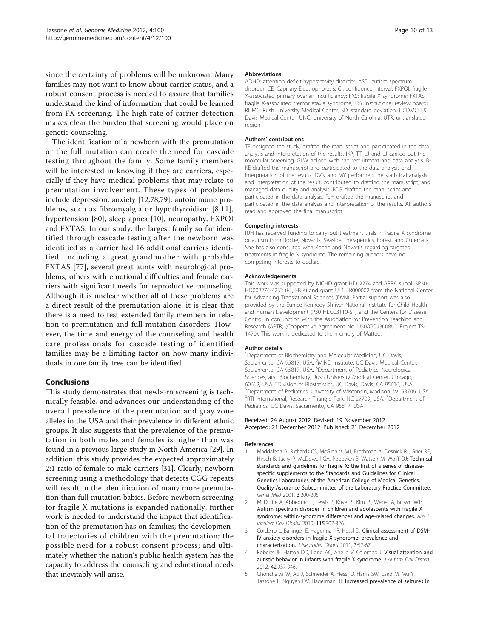<span id="page-9-0"></span>since the certainty of problems will be unknown. Many families may not want to know about carrier status, and a robust consent process is needed to assure that families understand the kind of information that could be learned from FX screening. The high rate of carrier detection makes clear the burden that screening would place on genetic counseling.

The identification of a newborn with the premutation or the full mutation can create the need for cascade testing throughout the family. Some family members will be interested in knowing if they are carriers, especially if they have medical problems that may relate to premutation involvement. These types of problems include depression, anxiety [[12,](#page-10-0)[78,79\]](#page-11-0), autoimmune problems, such as fibromyalgia or hypothyroidism [[8](#page-10-0),[11\]](#page-10-0), hypertension [[80\]](#page-11-0), sleep apnea [[10\]](#page-10-0), neuropathy, FXPOI and FXTAS. In our study, the largest family so far identified through cascade testing after the newborn was identified as a carrier had 16 additional carriers identified, including a great grandmother with probable FXTAS [\[77](#page-11-0)], several great aunts with neurological problems, others with emotional difficulties and female carriers with significant needs for reproductive counseling. Although it is unclear whether all of these problems are a direct result of the premutation alone, it is clear that there is a need to test extended family members in relation to premutation and full mutation disorders. However, the time and energy of the counseling and health care professionals for cascade testing of identified families may be a limiting factor on how many individuals in one family tree can be identified.

## Conclusions

This study demonstrates that newborn screening is technically feasible, and advances our understanding of the overall prevalence of the premutation and gray zone alleles in the USA and their prevalence in different ethnic groups. It also suggests that the prevalence of the premutation in both males and females is higher than was found in a previous large study in North America [[29\]](#page-10-0). In addition, this study provides the expected approximately 2:1 ratio of female to male carriers [\[31\]](#page-10-0). Clearly, newborn screening using a methodology that detects CGG repeats will result in the identification of many more premutation than full mutation babies. Before newborn screening for fragile X mutations is expanded nationally, further work is needed to understand the impact that identification of the premutation has on families; the developmental trajectories of children with the premutation; the possible need for a robust consent process; and ultimately whether the nation's public health system has the capacity to address the counseling and educational needs that inevitably will arise.

#### Abbreviations

ADHD: attention deficit-hyperactivity disorder; ASD: autism spectrum disorder; CE: Capillary Electrophoresis; CI: confidence interval; FXPOI: fragile X-associated primary ovarian insufficiency; FXS: fragile X syndrome; FXTAS: fragile X-associated tremor ataxia syndrome; IRB: institutional review board; RUMC: Rush University Medical Center; SD: standard deviation; UCDMC: UC Davis Medical Center; UNC: University of North Carolina; UTR: untranslated region.

#### Authors' contributions

TF designed the study, drafted the manuscript and participated in the data analysis and interpretation of the results. IKP, TT, LJ and LJ carried out the molecular screening. GLW helped with the recruitment and data analysis. B-KE drafted the manuscript and participated to the data analysis and interpretation of the results. DVN and MY performed the statistical analysis and interpretation of the result, contributed to drafting the manuscript, and managed data quality and analysis. BDB drafted the manuscript and participated in the data analysis. RJH drafted the manuscript and participated in the data analysis and interpretation of the results. All authors read and approved the final manuscript.

#### Competing interests

RJH has received funding to carry out treatment trials in fragile X syndrome or autism from Roche, Novartis, Seaside Therapeutics, Forest, and Curemark. She has also consulted with Roche and Novartis regarding targeted treatments in fragile X syndrome. The remaining authors have no competing interests to declare.

#### Acknowledgements

This work was supported by NICHD grant HD02274 and ARRA suppl. 3P30- HD002274-42S2 (FT, EB-K) and grant UL1 TR000002 from the National Center for Advancing Translational Sciences (DVN). Partial support was also provided by the Eunice Kennedy Shriver National Institute for Child Health and Human Development (P30 HD003110-S1) and the Centers for Disease Control in conjunction with the Association for Prevention Teaching and Research (APTR) (Cooperative Agreement No. U50/CCU300860, Project TS-1470). This work is dedicated to the memory of Matteo.

#### Author details

<sup>1</sup>Department of Biochemistry and Molecular Medicine, UC Davis, Sacramento, CA 95817, USA. <sup>2</sup>MIND Institute, UC Davis Medical Center Sacramento, CA 95817, USA. <sup>3</sup>Department of Pediatrics, Neurological Sciences, and Biochemistry, Rush University Medical Center, Chicago, IL 60612, USA. <sup>4</sup> Division of Biostatistics, UC Davis, Davis, CA 95616, USA. <sup>5</sup> <sup>5</sup>Department of Pediatrics, University of Wisconsin, Madison, WI 53706, USA. <sup>6</sup>RTI International, Research Triangle Park, NC 27709, USA. <sup>7</sup>Department of Pediatrics, UC Davis, Sacramento, CA 95817, USA.

#### Received: 24 August 2012 Revised: 19 November 2012 Accepted: 21 December 2012 Published: 21 December 2012

#### References

- 1. Maddalena A, Richards CS, McGinniss MJ, Brothman A, Desnick RJ, Grier RE, Hirsch B, Jacky P, McDowell GA, Popovich B, Watson M, Wolff DJ: Technical standards and guidelines for fragile X: the first of a series of diseasespecific supplements to the Standards and Guidelines for Clinical Genetics Laboratories of the American College of Medical Genetics. Quality Assurance Subcommittee of the Laboratory Practice Committee. Genet Med 2001, 3:200-205.
- 2. McDuffie A, Abbeduto L, Lewis P, Kover S, Kim JS, Weber A, Brown WT: Autism spectrum disorder in children and adolescents with fragile X syndrome: within-syndrome differences and age-related changes. Am J Intellect Dev Disabil 2010, 115:307-326.
- 3. Cordeiro L, Ballinger E, Hagerman R, Hessl D: Clinical assessment of DSM-IV anxiety disorders in fragile X syndrome: prevalence and characterization. J Neurodev Disord 2011, 3:57-67.
- Roberts JE, Hatton DD, Long AC, Anello V, Colombo J: Visual attention and autistic behavior in infants with fragile X syndrome. J Autism Dev Disord 2012, 42:937-946.
- 5. Chonchaiya W, Au J, Schneider A, Hessl D, Harris SW, Laird M, Mu Y, Tassone F, Nguyen DV, Hagerman RJ: Increased prevalence of seizures in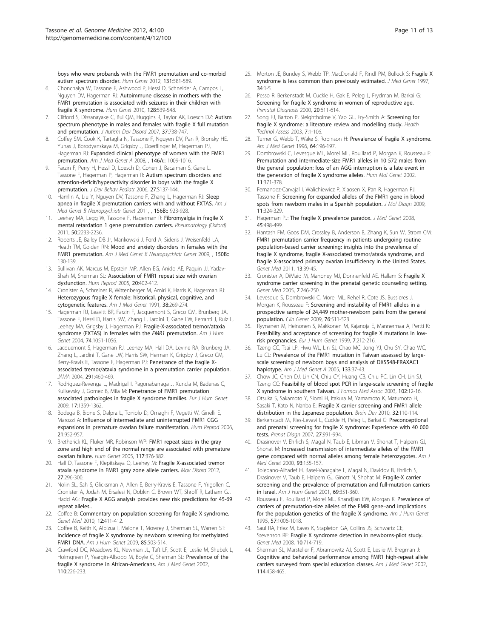<span id="page-10-0"></span>boys who were probands with the FMR1 premutation and co-morbid autism spectrum disorder. Hum Genet 2012, 131:581-589.

- 6. Chonchaiya W, Tassone F, Ashwood P, Hessl D, Schneider A, Campos L, Nguyen DV, Hagerman RJ: Autoimmune disease in mothers with the FMR1 premutation is associated with seizures in their children with fragile X syndrome. Hum Genet 2010, 128:539-548.
- 7. Clifford S, Dissanayake C, Bui QM, Huggins R, Taylor AK, Loesch DZ: Autism spectrum phenotype in males and females with fragile X full mutation and premutation. J Autism Dev Disord 2007, 37:738-747.
- 8. Coffey SM, Cook K, Tartaglia N, Tassone F, Nguyen DV, Pan R, Bronsky HE, Yuhas J, Borodyanskaya M, Grigsby J, Doerflinger M, Hagerman PJ, Hagerman RJ: Expanded clinical phenotype of women with the FMR1 premutation. Am J Med Genet A 2008, , 146A:: 1009-1016.
- Farzin F, Perry H, Hessl D, Loesch D, Cohen J, Bacalman S, Gane L, Tassone F, Hagerman P, Hagerman R: Autism spectrum disorders and attention-deficit/hyperactivity disorder in boys with the fragile X premutation. J Dev Behav Pediatr 2006, 27:S137-144.
- 10. Hamlin A, Liu Y, Nguyen DV, Tassone F, Zhang L, Hagerman RJ: Sleep apnea in fragile X premutation carriers with and without FXTAS. Am J Med Genet B Neuropsychiatr Genet 2011, , 156B:: 923-928.
- 11. Leehey MA, Legg W, Tassone F, Hagerman R: Fibromyalgia in fragile X mental retardation 1 gene premutation carriers. Rheumatology (Oxford) 2011, 50:2233-2236.
- 12. Roberts JE, Bailey DB Jr, Mankowski J, Ford A, Sideris J, Weisenfeld LA, Heath TM, Golden RN: Mood and anxiety disorders in females with the FMR1 premutation. Am J Med Genet B Neuropsychiatr Genet 2009, , 150B:: 130-139.
- 13. Sullivan AK, Marcus M, Epstein MP, Allen EG, Anido AE, Paquin JJ, Yadav-Shah M, Sherman SL: Association of FMR1 repeat size with ovarian dysfunction. Hum Reprod 2005, 20:402-412.
- 14. Cronister A, Schreiner R, Wittenberger M, Amiri K, Harris K, Hagerman RJ: Heterozygous fragile X female: historical, physical, cognitive, and cytogenetic features. Am J Med Genet 1991, 38:269-274.
- 15. Hagerman RJ, Leavitt BR, Farzin F, Jacquemont S, Greco CM, Brunberg JA, Tassone F, Hessl D, Harris SW, Zhang L, Jardini T, Gane LW, Ferranti J, Ruiz L, Leehey MA, Grigsby J, Hagerman PJ: Fragile-X-associated tremor/ataxia syndrome (FXTAS) in females with the FMR1 premutation. Am J Hum Genet 2004, 74:1051-1056.
- 16. Jacquemont S, Hagerman RJ, Leehey MA, Hall DA, Levine RA, Brunberg JA, Zhang L, Jardini T, Gane LW, Harris SW, Herman K, Grigsby J, Greco CM, Berry-Kravis E, Tassone F, Hagerman PJ: Penetrance of the fragile Xassociated tremor/ataxia syndrome in a premutation carrier population. JAMA 2004, 291:460-469.
- 17. Rodriguez-Revenga L, Madrigal I, Pagonabarraga J, Xuncla M, Badenas C, Kulisevsky J, Gomez B, Mila M: Penetrance of FMR1 premutation associated pathologies in fragile X syndrome families. Eur J Hum Genet 2009, 17:1359-1362.
- 18. Bodega B, Bione S, Dalpra L, Toniolo D, Ornaghi F, Vegetti W, Ginelli E, Marozzi A: Influence of intermediate and uninterrupted FMR1 CGG expansions in premature ovarian failure manifestation. Hum Reprod 2006, 21:952-957.
- 19. Bretherick KL, Fluker MR, Robinson WP: FMR1 repeat sizes in the gray zone and high end of the normal range are associated with premature ovarian failure. Hum Genet 2005, 117:376-382.
- 20. Hall D, Tassone F, Klepitskaya O, Leehey M: Fragile X-associated tremor ataxia syndrome in FMR1 gray zone allele carriers. Mov Disord 2012, 27:296-300.
- 21. Nolin SL, Sah S, Glicksman A, Allen E, Berry-Kravis E, Tassone F, Yrigollen C, Cronister A, Jodah M, Ersalesi N, Dobkin C, Brown WT, Shroff R, Latham GJ, Hadd AG: Fragile X AGG analysis provides new risk predictions for 45-69 repeat alleles...
- 22. Coffee B: Commentary on population screening for fragile X syndrome. Genet Med 2010, 12:411-412.
- 23. Coffee B, Keith K, Albizua I, Malone T, Mowrey J, Sherman SL, Warren ST: Incidence of fragile X syndrome by newborn screening for methylated FMR1 DNA. Am J Hum Genet 2009, 85:503-514.
- 24. Crawford DC, Meadows KL, Newman JL, Taft LF, Scott E, Leslie M, Shubek L, Holmgreen P, Yeargin-Allsopp M, Boyle C, Sherman SL: Prevalence of the fragile X syndrome in African-Americans. Am J Med Genet 2002, 110:226-233.
- 25. Morton JE, Bundey S, Webb TP, MacDonald F, Rindl PM, Bullock S: Fragile X syndrome is less common than previously estimated. J Med Genet 1997, 34:1-5.
- 26. Pesso R, Berkenstadt M, Cuckle H, Gak E, Peleg L, Frydman M, Barkai G: Screening for fragile X syndrome in women of reproductive age. Prenatal Diagnosis 2000, 20:611-614.
- 27. Song FJ, Barton P, Sleightholme V, Yao GL, Fry-Smith A: Screening for fragile X syndrome: a literature review and modelling study. Health Technol Assess 2003, 7:1-106.
- 28. Turner G, Webb T, Wake S, Robinson H: Prevalence of fragile X syndrome. Am J Med Genet 1996, 64:196-197.
- 29. Dombrowski C, Levesque ML, Morel ML, Rouillard P, Morgan K, Rousseau F: Premutation and intermediate-size FMR1 alleles in 10 572 males from the general population: loss of an AGG interruption is a late event in the generation of fragile X syndrome alleles. Hum Mol Genet 2002, 11:371-378.
- 30. Fernandez-Carvajal I, Walichiewicz P, Xiaosen X, Pan R, Hagerman PJ, Tassone F: Screening for expanded alleles of the FMR1 gene in blood spots from newborn males in a Spanish population. J Mol Diagn 2009, 11:324-329.
- 31. Hagerman PJ: The fragile X prevalence paradox. J Med Genet 2008, 45:498-499.
- 32. Hantash FM, Goos DM, Crossley B, Anderson B, Zhang K, Sun W, Strom CM: FMR1 premutation carrier frequency in patients undergoing routine population-based carrier screening: insights into the prevalence of fragile X syndrome, fragile X-associated tremor/ataxia syndrome, and fragile X-associated primary ovarian insufficiency in the United States. Genet Med 2011, 13:39-45.
- 33. Cronister A, DiMaio M, Mahoney MJ, Donnenfeld AE, Hallam S: Fragile X syndrome carrier screening in the prenatal genetic counseling setting. Genet Med 2005, 7:246-250.
- 34. Levesque S, Dombrowski C, Morel ML, Rehel R, Cote JS, Bussieres J, Morgan K, Rousseau F: Screening and instability of FMR1 alleles in a prospective sample of 24,449 mother-newborn pairs from the general population. Clin Genet 2009, 76:511-523.
- 35. Ryynanen M, Heinonen S, Makkonen M, Kajanoja E, Mannermaa A, Pertti K: Feasibility and acceptance of screening for fragile X mutations in lowrisk pregnancies. Eur J Hum Genet 1999, 7:212-216.
- Tzeng CC, Tsai LP, Hwu WL, Lin SJ, Chao MC, Jong YJ, Chu SY, Chao WC, Lu CL: Prevalence of the FMR1 mutation in Taiwan assessed by largescale screening of newborn boys and analysis of DXS548-FRAXAC1 haplotype. Am J Med Genet A 2005, 133:37-43.
- 37. Chow JC, Chen DJ, Lin CN, Chiu CY, Huang CB, Chiu PC, Lin CH, Lin SJ, Tzeng CC: Feasibility of blood spot PCR in large-scale screening of fragile X syndrome in southern Taiwan. J Formos Med Assoc 2003, 102:12-16.
- Otsuka S, Sakamoto Y, Siomi H, Itakura M, Yamamoto K, Matumoto H, Sasaki T, Kato N, Nanba E: Fragile X carrier screening and FMR1 allele distribution in the Japanese population. Brain Dev 2010, 32:110-114.
- 39. Berkenstadt M, Ries-Levavi L, Cuckle H, Peleg L, Barkai G: Preconceptional and prenatal screening for fragile X syndrome: Experience with 40 000 tests. Prenat Diagn 2007, 27:991-994.
- 40. Drasinover V, Ehrlich S, Magal N, Taub E, Libman V, Shohat T, Halpern GJ, Shohat M: Increased transmission of intermediate alleles of the FMR1 gene compared with normal alleles among female heterozygotes. Am J Med Genet 2000, 93:155-157.
- 41. Toledano-Alhadef H, Basel-Vanagaite L, Magal N, Davidov B, Ehrlich S, Drasinover V, Taub E, Halpern GJ, Ginott N, Shohat M: Fragile-X carrier screening and the prevalence of premutation and full-mutation carriers in Israel. Am J Hum Genet 2001, 69:351-360.
- 42. Rousseau F, Rouillard P, Morel ML, Khandjian EW, Morgan K: Prevalence of carriers of premutation-size alleles of the FMRI gene–and implications for the population genetics of the fragile X syndrome. Am J Hum Genet 1995, 57:1006-1018.
- 43. Saul RA, Friez M, Eaves K, Stapleton GA, Collins JS, Schwartz CE, Stevenson RE: Fragile X syndrome detection in newborns-pilot study. Genet Med 2008, 10:714-719.
- 44. Sherman SL, Marsteller F, Abramowitz AJ, Scott E, Leslie M, Bregman J: Cognitive and behavioral performance among FMR1 high-repeat allele carriers surveyed from special education classes. Am J Med Genet 2002, 114:458-465.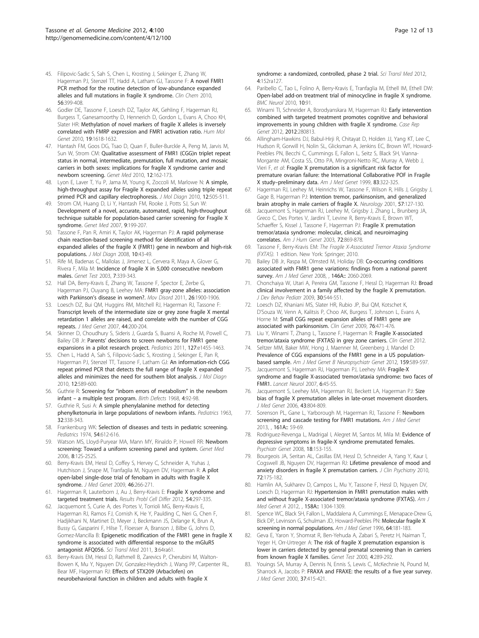- <span id="page-11-0"></span>45. Filipovic-Sadic S, Sah S, Chen L, Krosting J, Sekinger E, Zhang W, Hagerman PJ, Stenzel TT, Hadd A, Latham GJ, Tassone F: A novel FMR1 PCR method for the routine detection of low-abundance expanded alleles and full mutations in fragile X syndrome. Clin Chem 2010, 56:399-408.
- 46. Godler DE, Tassone F, Loesch DZ, Taylor AK, Gehling F, Hagerman RJ, Burgess T, Ganesamoorthy D, Hennerich D, Gordon L, Evans A, Choo KH, Slater HR: Methylation of novel markers of fragile X alleles is inversely correlated with FMRP expression and FMR1 activation ratio. Hum Mol Genet 2010, 19:1618-1632.
- 47. Hantash FM, Goos DG, Tsao D, Quan F, Buller-Burckle A, Peng M, Jarvis M, Sun W, Strom CM: Qualitative assessment of FMR1 (CGG)n triplet repeat status in normal, intermediate, premutation, full mutation, and mosaic carriers in both sexes: implications for fragile X syndrome carrier and newborn screening. Genet Med 2010, 12:162-173.
- 48. Lyon E, Laver T, Yu P, Jama M, Young K, Zoccoli M, Marlowe N: A simple, high-throughput assay for Fragile X expanded alleles using triple repeat primed PCR and capillary electrophoresis. J Mol Diagn 2010, 12:505-511.
- 49. Strom CM, Huang D, Li Y, Hantash FM, Rooke J, Potts SJ, Sun W: Development of a novel, accurate, automated, rapid, high-throughput technique suitable for population-based carrier screening for Fragile X syndrome. Genet Med 2007, 9:199-207.
- 50. Tassone F, Pan R, Amiri K, Taylor AK, Hagerman PJ: A rapid polymerase chain reaction-based screening method for identification of all expanded alleles of the fragile X (FMR1) gene in newborn and high-risk populations. J Mol Diagn 2008, 10:43-49.
- 51. Rife M, Badenas C, Mallolas J, Jimenez L, Cervera R, Maya A, Glover G, Rivera F, Mila M: Incidence of fragile X in 5,000 consecutive newborn males. Genet Test 2003, 7:339-343.
- 52. Hall DA, Berry-Kravis E, Zhang W, Tassone F, Spector E, Zerbe G, Hagerman PJ, Ouyang B, Leehey MA: FMR1 gray-zone alleles: association with Parkinson's disease in women?. Mov Disord 2011, 26:1900-1906.
- 53. Loesch DZ, Bui QM, Huggins RM, Mitchell RJ, Hagerman RJ, Tassone F: Transcript levels of the intermediate size or grey zone fragile X mental retardation 1 alleles are raised, and correlate with the number of CGG repeats. J Med Genet 2007, 44:200-204.
- 54. Skinner D, Choudhury S, Sideris J, Guarda S, Buansi A, Roche M, Powell C, Bailey DB Jr: Parents' decisions to screen newborns for FMR1 gene expansions in a pilot research project. Pediatrics 2011, 127:e1455-1463.
- 55. Chen L, Hadd A, Sah S, Filipovic-Sadic S, Krosting J, Sekinger E, Pan R, Hagerman PJ, Stenzel TT, Tassone F, Latham GJ: An information-rich CGG repeat primed PCR that detects the full range of fragile X expanded alleles and minimizes the need for southern blot analysis. J Mol Diagn 2010, 12:589-600.
- 56. Guthrie R: Screening for "inborn errors of metabolism" in the newborn infant – a multiple test program. Birth Defects 1968, 4:92-98.
- 57. Guthrie R, Susi A: A simple phenylalanine method for detecting phenylketonuria in large populations of newborn infants. Pediatrics 1963, 32:338-343.
- 58. Frankenburg WK: Selection of diseases and tests in pediatric screening. Pediatrics 1974, 54:612-616.
- 59. Watson MS, Lloyd-Puryear MA, Mann MY, Rinaldo P, Howell RR: Newborn screening: Toward a uniform screening panel and system. Genet Med 2006, 8:12S-252S.
- 60. Berry-Kravis EM, Hessl D, Coffey S, Hervey C, Schneider A, Yuhas J, Hutchison J, Snape M, Tranfaglia M, Nguyen DV, Hagerman R: A pilot open-label single-dose trial of fenobam in adults with fragile X syndrome. J Med Genet 2009, 46:266-271.
- 61. Hagerman R, Lauterborn J, Au J, Berry-Kravis E: Fragile X syndrome and targeted treatment trials. Results Probl Cell Differ 2012, 54:297-335.
- 62. Jacquemont S, Curie A, des Portes V, Torrioli MG, Berry-Kravis E, Hagerman RJ, Ramos FJ, Cornish K, He Y, Paulding C, Neri G, Chen F, Hadjikhani N, Martinet D, Meyer J, Beckmann JS, Delange K, Brun A, Bussy G, Gasparini F, Hilse T, Floesser A, Branson J, Bilbe G, Johns D, Gomez-Mancilla B: Epigenetic modification of the FMR1 gene in fragile X syndrome is associated with differential response to the mGluR5 antagonist AFQ056. Sci Transl Med 2011, 3:64ra61.
- Berry-Kravis EM, Hessl D, Rathmell B, Zarevics P, Cherubini M, Walton-Bowen K, Mu Y, Nguyen DV, Gonzalez-Heydrich J, Wang PP, Carpenter RL, Bear MF, Hagerman RJ: Effects of STX209 (Arbaclofen) on neurobehavioral function in children and adults with fragile X
- 64. Paribello C, Tao L, Folino A, Berry-Kravis E, Tranfaglia M, Ethell IM, Ethell DW: Open-label add-on treatment trial of minocycline in fragile X syndrome. BMC Neurol 2010, 10:91.
- 65. Winarni TI, Schneider A, Borodyanskara M, Hagerman RJ: Early intervention combined with targeted treatment promotes cognitive and behavioral improvements in young children with fragile X syndrome. Case Rep Genet 2012, 2012:280813.
- 66. Allingham-Hawkins DJ, Babul-Hirji R, Chitayat D, Holden JJ, Yang KT, Lee C, Hudson R, Gorwill H, Nolin SL, Glicksman A, Jenkins EC, Brown WT, Howard-Peebles PN, Becchi C, Cummings E, Fallon L, Seitz S, Black SH, Vianna-Morgante AM, Costa SS, Otto PA, Mingroni-Netto RC, Murray A, Webb J, Vieri F, et al: Fragile X premutation is a significant risk factor for premature ovarian failure: the International Collaborative POF in Fragile X study–preliminary data. Am J Med Genet 1999, 83:322-325.
- 67. Hagerman RJ, Leehey M, Heinrichs W, Tassone F, Wilson R, Hills J, Grigsby J, Gage B, Hagerman PJ: Intention tremor, parkinsonism, and generalized brain atrophy in male carriers of fragile X. Neurology 2001, 57:127-130.
- 68. Jacquemont S, Hagerman RJ, Leehey M, Grigsby J, Zhang L, Brunberg JA, Greco C, Des Portes V, Jardini T, Levine R, Berry-Kravis E, Brown WT, Schaeffer S, Kissel J, Tassone F, Hagerman PJ: Fragile X premutation tremor/ataxia syndrome: molecular, clinical, and neuroimaging correlates. Am J Hum Genet 2003, 72:869-878.
- 69. Tassone F, Berry-Kravis EM: The Fragile X-Associated Tremor Ataxia Syndrome (FXTAS). 1 edition. New York: Springer; 2010.
- 70. Bailey DB Jr, Raspa M, Olmsted M, Holiday DB: Co-occurring conditions associated with FMR1 gene variations: findings from a national parent survey. Am J Med Genet 2008, , 146A:: 2060-2069.
- 71. Chonchaiya W, Utari A, Pereira GM, Tassone F, Hessl D, Hagerman RJ: Broad clinical involvement in a family affected by the fragile X premutation. J Dev Behav Pediatr 2009, 30:544-551.
- 72. Loesch DZ, Khaniani MS, Slater HR, Rubio JP, Bui QM, Kotschet K, D'Souza W, Venn A, Kalitsis P, Choo AK, Burgess T, Johnson L, Evans A, Horne M: Small CGG repeat expansion alleles of FMR1 gene are associated with parkinsonism. Clin Genet 2009, 76:471-476.
- 73. Liu Y, Winarni T, Zhang L, Tassone F, Hagerman R: Fragile X-associated tremor/ataxia syndrome (FXTAS) in grey zone carriers. Clin Genet 2012.
- 74. Seltzer MM, Baker MW, Hong J, Maenner M, Greenberg J, Mandel D: Prevalence of CGG expansions of the FMR1 gene in a US populationbased sample. Am J Med Genet B Neuropsychiatr Genet 2012, 159:589-597.
- 75. Jacquemont S, Hagerman RJ, Hagerman PJ, Leehey MA: Fragile-X syndrome and fragile X-associated tremor/ataxia syndrome: two faces of FMR1. Lancet Neurol 2007, 6:45-55.
- 76. Jacquemont S, Leehey MA, Hagerman RJ, Beckett LA, Hagerman PJ: Size bias of fragile X premutation alleles in late-onset movement disorders. J Med Genet 2006, 43:804-809.
- 77. Sorenson PL, Gane L, Yarborough M, Hagerman RJ, Tassone F: Newborn screening and cascade testing for FMR1 mutations. Am J Med Genet 2013, , 161A:: 59-69.
- 78. Rodriguez-Revenga L, Madrigal I, Alegret M, Santos M, Mila M: Evidence of depressive symptoms in fragile-X syndrome premutated females. Psychiatr Genet 2008, 18:153-155.
- 79. Bourgeois JA, Seritan AL, Casillas EM, Hessl D, Schneider A, Yang Y, Kaur I, Cogswell JB, Nguyen DV, Hagerman RJ: Lifetime prevalence of mood and anxiety disorders in fragile X premutation carriers. J Clin Psychiatry 2010, 72:175-182.
- 80. Hamlin AA, Sukharev D, Campos L, Mu Y, Tassone F, Hessl D, Nguyen DV, Loesch D, Hagerman RJ: Hypertension in FMR1 premutation males with and without fragile X-associated tremor/ataxia syndrome (FXTAS). Am J Med Genet A 2012, , 158A:: 1304-1309.
- 81. Spence WC, Black SH, Fallon L, Maddalena A, Cummings E, Menapace-Drew G, Bick DP, Levinson G, Schulman JD, Howard-Peebles PN: Molecular fragile X screening in normal populations. Am J Med Genet 1996, 64:181-183.
- 82. Geva E, Yaron Y, Shomrat R, Ben-Yehuda A, Zabari S, Peretz H, Naiman T, Yeger H, Orr-Urtreger A: The risk of fragile X premutation expansion is lower in carriers detected by general prenatal screening than in carriers from known fragile X families. Genet Test 2000, 4:289-292.
- 83. Youings SA, Murray A, Dennis N, Ennis S, Lewis C, McKechnie N, Pound M, Sharrock A, Jacobs P: FRAXA and FRAXE: the results of a five year survey. J Med Genet 2000, 37:415-421.